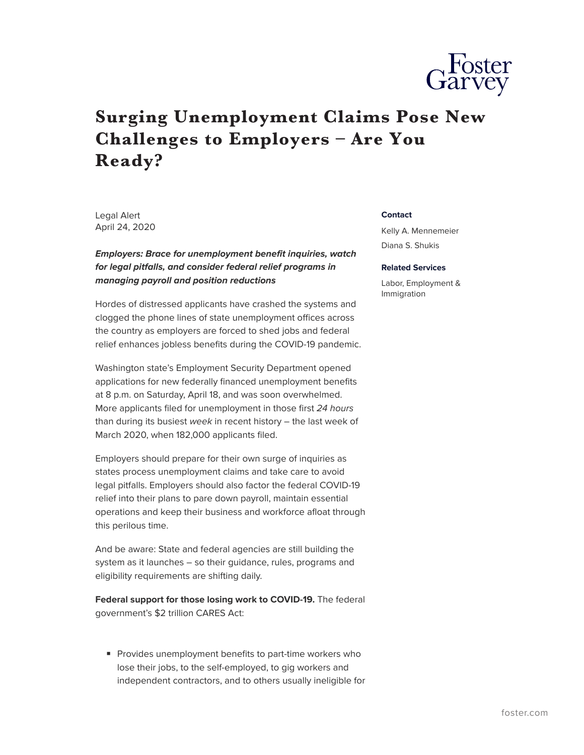

## **Surging Unemployment Claims Pose New Challenges to Employers – Are You Ready?**

Legal Alert April 24, 2020

## *Employers: Brace for unemployment benefit inquiries, watch for legal pitfalls, and consider federal relief programs in managing payroll and position reductions*

Hordes of distressed applicants have crashed the systems and clogged the phone lines of state unemployment offices across the country as employers are forced to shed jobs and federal relief enhances jobless benefits during the COVID-19 pandemic.

Washington state's Employment Security Department opened applications for new federally financed unemployment benefits at 8 p.m. on Saturday, April 18, and was soon overwhelmed. More applicants filed for unemployment in those first *24 hours* than during its busiest *week* in recent history – the last week of March 2020, when 182,000 applicants filed.

Employers should prepare for their own surge of inquiries as states process unemployment claims and take care to avoid legal pitfalls. Employers should also factor the federal COVID-19 relief into their plans to pare down payroll, maintain essential operations and keep their business and workforce afloat through this perilous time.

And be aware: State and federal agencies are still building the system as it launches – so their guidance, rules, programs and eligibility requirements are shifting daily.

**Federal support for those losing work to COVID-19.** The federal government's \$2 trillion CARES Act:

■ Provides unemployment benefits to part-time workers who lose their jobs, to the self-employed, to gig workers and independent contractors, and to others usually ineligible for

## **Contact**

Kelly A. Mennemeier Diana S. Shukis

## **Related Services**

Labor, Employment & Immigration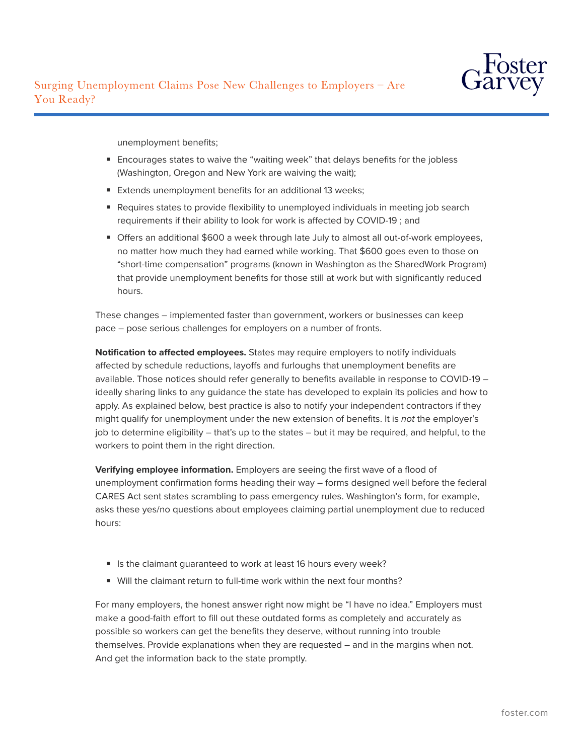

unemployment benefits;

- Encourages states to waive the "waiting week" that delays benefits for the jobless (Washington, Oregon and New York are waiving the wait);
- Extends unemployment benefits for an additional 13 weeks;
- Requires states to provide flexibility to unemployed individuals in meeting job search requirements if their ability to look for work is affected by COVID-19 ; and
- Offers an additional \$600 a week through late July to almost all out-of-work employees, no matter how much they had earned while working. That \$600 goes even to those on "short-time compensation" programs (known in Washington as the SharedWork Program) that provide unemployment benefits for those still at work but with significantly reduced hours.

These changes – implemented faster than government, workers or businesses can keep pace – pose serious challenges for employers on a number of fronts.

**Notification to affected employees.** States may require employers to notify individuals affected by schedule reductions, layoffs and furloughs that unemployment benefits are available. Those notices should refer generally to benefits available in response to COVID-19 – ideally sharing links to any guidance the state has developed to explain its policies and how to apply. As explained below, best practice is also to notify your independent contractors if they might qualify for unemployment under the new extension of benefits. It is *not* the employer's job to determine eligibility – that's up to the states – but it may be required, and helpful, to the workers to point them in the right direction.

**Verifying employee information.** Employers are seeing the first wave of a flood of unemployment confirmation forms heading their way – forms designed well before the federal CARES Act sent states scrambling to pass emergency rules. Washington's form, for example, asks these yes/no questions about employees claiming partial unemployment due to reduced hours:

- Is the claimant quaranteed to work at least 16 hours every week?
- Will the claimant return to full-time work within the next four months?

For many employers, the honest answer right now might be "I have no idea." Employers must make a good-faith effort to fill out these outdated forms as completely and accurately as possible so workers can get the benefits they deserve, without running into trouble themselves. Provide explanations when they are requested – and in the margins when not. And get the information back to the state promptly.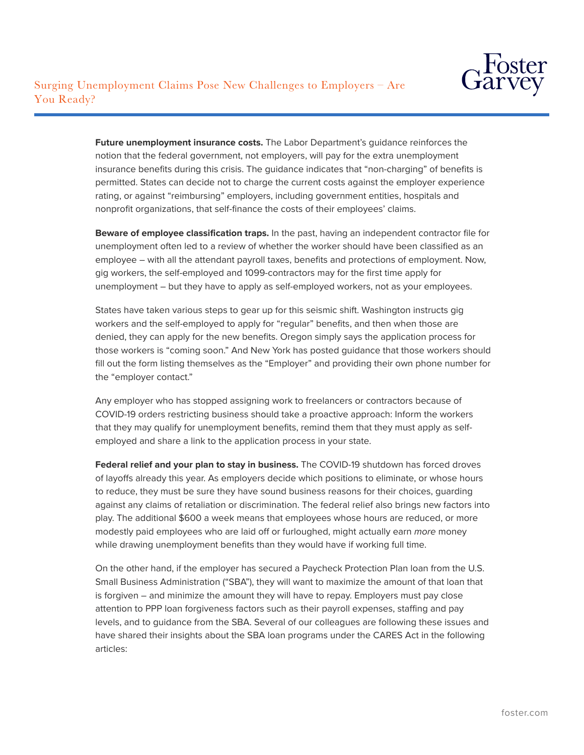

**Future unemployment insurance costs.** The Labor Department's guidance reinforces the notion that the federal government, not employers, will pay for the extra unemployment insurance benefits during this crisis. The guidance indicates that "non-charging" of benefits is permitted. States can decide not to charge the current costs against the employer experience rating, or against "reimbursing" employers, including government entities, hospitals and nonprofit organizations, that self-finance the costs of their employees' claims.

**Beware of employee classification traps.** In the past, having an independent contractor file for unemployment often led to a review of whether the worker should have been classified as an employee – with all the attendant payroll taxes, benefits and protections of employment. Now, gig workers, the self-employed and 1099-contractors may for the first time apply for unemployment – but they have to apply as self-employed workers, not as your employees.

States have taken various steps to gear up for this seismic shift. Washington instructs gig workers and the self-employed to apply for "regular" benefits, and then when those are denied, they can apply for the new benefits. Oregon simply says the application process for those workers is "coming soon." And New York has posted guidance that those workers should fill out the form listing themselves as the "Employer" and providing their own phone number for the "employer contact."

Any employer who has stopped assigning work to freelancers or contractors because of COVID-19 orders restricting business should take a proactive approach: Inform the workers that they may qualify for unemployment benefits, remind them that they must apply as selfemployed and share a link to the application process in your state.

**Federal relief and your plan to stay in business.** The COVID-19 shutdown has forced droves of layoffs already this year. As employers decide which positions to eliminate, or whose hours to reduce, they must be sure they have sound business reasons for their choices, guarding against any claims of retaliation or discrimination. The federal relief also brings new factors into play. The additional \$600 a week means that employees whose hours are reduced, or more modestly paid employees who are laid off or furloughed, might actually earn *more* money while drawing unemployment benefits than they would have if working full time.

On the other hand, if the employer has secured a Paycheck Protection Plan loan from the U.S. Small Business Administration ("SBA"), they will want to maximize the amount of that loan that is forgiven – and minimize the amount they will have to repay. Employers must pay close attention to PPP loan forgiveness factors such as their payroll expenses, staffing and pay levels, and to guidance from the SBA. Several of our colleagues are following these issues and have shared their insights about the SBA loan programs under the CARES Act in the following articles: